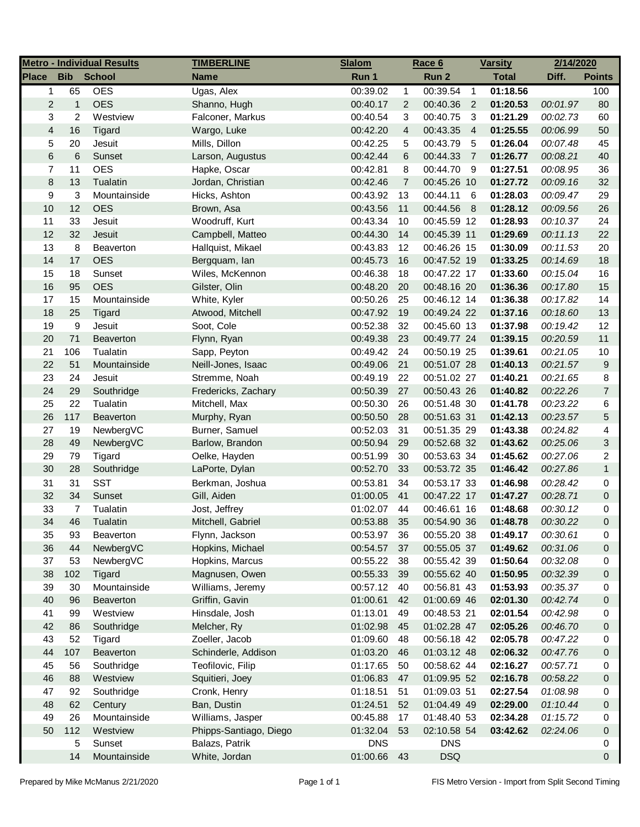| <b>Place</b><br><b>Bib</b><br><b>School</b><br><b>Total</b><br><b>Name</b><br>Run 1<br>Run 2<br>Diff.<br>65<br><b>OES</b><br>Ugas, Alex<br>00:39.02<br>00:39.54<br>01:18.56<br>$\mathbf{1}$<br>$\overline{1}$<br>1<br><b>OES</b><br>$\overline{c}$<br>$\mathbf{1}$<br>Shanno, Hugh<br>$\overline{2}$<br>00:40.36<br>01:20.53<br>00:01.97<br>00:40.17<br>$\overline{2}$<br>3<br>2<br>Westview<br>Falconer, Markus<br>00:40.54<br>3<br>00:40.75<br>01:21.29<br>3<br>00:02.73<br>$\overline{4}$<br>$\overline{4}$<br>16<br>Tigard<br>Wargo, Luke<br>00:42.20<br>00:43.35<br>$\overline{4}$<br>01:25.55<br>00:06.99<br>5<br>20<br>Jesuit<br>Mills, Dillon<br>00:42.25<br>5<br>00:43.79<br>01:26.04<br>00:07.48<br>-5 | <b>Points</b><br>100<br>80<br>60<br>50<br>45<br>40 |
|------------------------------------------------------------------------------------------------------------------------------------------------------------------------------------------------------------------------------------------------------------------------------------------------------------------------------------------------------------------------------------------------------------------------------------------------------------------------------------------------------------------------------------------------------------------------------------------------------------------------------------------------------------------------------------------------------------------|----------------------------------------------------|
|                                                                                                                                                                                                                                                                                                                                                                                                                                                                                                                                                                                                                                                                                                                  |                                                    |
|                                                                                                                                                                                                                                                                                                                                                                                                                                                                                                                                                                                                                                                                                                                  |                                                    |
|                                                                                                                                                                                                                                                                                                                                                                                                                                                                                                                                                                                                                                                                                                                  |                                                    |
|                                                                                                                                                                                                                                                                                                                                                                                                                                                                                                                                                                                                                                                                                                                  |                                                    |
|                                                                                                                                                                                                                                                                                                                                                                                                                                                                                                                                                                                                                                                                                                                  |                                                    |
|                                                                                                                                                                                                                                                                                                                                                                                                                                                                                                                                                                                                                                                                                                                  |                                                    |
| 6<br>6<br>Sunset<br>00:42.44<br>6<br>00:44.33<br>$\overline{7}$<br>01:26.77<br>00:08.21<br>Larson, Augustus                                                                                                                                                                                                                                                                                                                                                                                                                                                                                                                                                                                                      |                                                    |
| 7<br>11<br><b>OES</b><br>Hapke, Oscar<br>00:42.81<br>8<br>00:44.70<br>- 9<br>01:27.51<br>00:08.95                                                                                                                                                                                                                                                                                                                                                                                                                                                                                                                                                                                                                | 36                                                 |
| 8<br>13<br>Tualatin<br>Jordan, Christian<br>00:42.46<br>$\overline{7}$<br>00:45.26 10<br>01:27.72<br>00:09.16                                                                                                                                                                                                                                                                                                                                                                                                                                                                                                                                                                                                    | 32                                                 |
| 9<br>3<br>Mountainside<br>00:43.92<br>13<br>00:44.11<br>- 6<br>01:28.03<br>00:09.47<br>Hicks, Ashton                                                                                                                                                                                                                                                                                                                                                                                                                                                                                                                                                                                                             | 29                                                 |
| 10<br>12<br><b>OES</b><br>01:28.12<br>00:43.56<br>11<br>00:44.56<br>8<br>00:09.56<br>Brown, Asa                                                                                                                                                                                                                                                                                                                                                                                                                                                                                                                                                                                                                  | 26                                                 |
| 11<br>33<br>Jesuit<br>Woodruff, Kurt<br>00:43.34<br>10<br>00:45.59 12<br>01:28.93<br>00:10.37                                                                                                                                                                                                                                                                                                                                                                                                                                                                                                                                                                                                                    | 24                                                 |
| 12<br>32<br>Jesuit<br>Campbell, Matteo<br>00:44.30<br>14<br>00:45.39 11<br>01:29.69<br>00:11.13                                                                                                                                                                                                                                                                                                                                                                                                                                                                                                                                                                                                                  | 22                                                 |
| 13<br>8<br>01:30.09<br>Beaverton<br>Hallquist, Mikael<br>00:43.83<br>12<br>00:46.26 15<br>00:11.53                                                                                                                                                                                                                                                                                                                                                                                                                                                                                                                                                                                                               | 20                                                 |
| <b>OES</b><br>14<br>17<br>00:47.52 19<br>00:45.73<br>16<br>01:33.25<br>00:14.69<br>Bergquam, lan                                                                                                                                                                                                                                                                                                                                                                                                                                                                                                                                                                                                                 | 18                                                 |
| 15<br>18<br>Wiles, McKennon<br>00:46.38<br>18<br>00:47.22 17<br>01:33.60<br>Sunset<br>00:15.04                                                                                                                                                                                                                                                                                                                                                                                                                                                                                                                                                                                                                   | 16                                                 |
| 16<br>95<br><b>OES</b><br>00:48.16 20<br>Gilster, Olin<br>00:48.20<br>20<br>01:36.36<br>00:17.80                                                                                                                                                                                                                                                                                                                                                                                                                                                                                                                                                                                                                 | 15                                                 |
| 17<br>15<br>Mountainside<br>White, Kyler<br>00:50.26<br>25<br>00:46.12 14<br>01:36.38<br>00:17.82                                                                                                                                                                                                                                                                                                                                                                                                                                                                                                                                                                                                                | 14                                                 |
| 18<br>25<br>Tigard<br>Atwood, Mitchell<br>00:47.92<br>19<br>00:49.24 22<br>01:37.16<br>00:18.60                                                                                                                                                                                                                                                                                                                                                                                                                                                                                                                                                                                                                  | 13                                                 |
| 19<br>9<br>00:52.38<br>32<br>00:45.60 13<br>Jesuit<br>Soot, Cole<br>01:37.98<br>00:19.42                                                                                                                                                                                                                                                                                                                                                                                                                                                                                                                                                                                                                         | 12                                                 |
| 20<br>71<br>Beaverton<br>00:49.38<br>23<br>00:49.77 24<br>01:39.15<br>Flynn, Ryan<br>00:20.59                                                                                                                                                                                                                                                                                                                                                                                                                                                                                                                                                                                                                    | 11                                                 |
| 106<br>21<br>Tualatin<br>00:49.42<br>24<br>00:50.19 25<br>01:39.61<br>Sapp, Peyton<br>00:21.05                                                                                                                                                                                                                                                                                                                                                                                                                                                                                                                                                                                                                   | $10$                                               |
| 22<br>51<br>00:49.06<br>21<br>00:51.07 28<br>01:40.13<br>00:21.57<br>Mountainside<br>Neill-Jones, Isaac                                                                                                                                                                                                                                                                                                                                                                                                                                                                                                                                                                                                          | 9                                                  |
| 23<br>24<br>01:40.21<br>Jesuit<br>Stremme, Noah<br>00:49.19<br>22<br>00:51.02 27<br>00:21.65                                                                                                                                                                                                                                                                                                                                                                                                                                                                                                                                                                                                                     | 8                                                  |
| 24<br>29<br>Southridge<br>00:50.39<br>27<br>00:50.43 26<br>01:40.82<br>00:22.26<br>Fredericks, Zachary                                                                                                                                                                                                                                                                                                                                                                                                                                                                                                                                                                                                           | $\overline{7}$                                     |
| 25<br>22<br>Tualatin<br>Mitchell, Max<br>00:50.30<br>26<br>00:51.48 30<br>01:41.78<br>00:23.22                                                                                                                                                                                                                                                                                                                                                                                                                                                                                                                                                                                                                   | 6                                                  |
| 26<br>117<br>00:50.50<br>28<br>00:51.63 31<br>01:42.13<br>00:23.57<br><b>Beaverton</b><br>Murphy, Ryan                                                                                                                                                                                                                                                                                                                                                                                                                                                                                                                                                                                                           | 5                                                  |
| 27<br>19<br>Burner, Samuel<br>00:52.03<br>31<br>00:51.35 29<br>01:43.38<br>00:24.82<br>NewbergVC                                                                                                                                                                                                                                                                                                                                                                                                                                                                                                                                                                                                                 | 4                                                  |
| 28<br>49<br>00:50.94<br>29<br>00:52.68 32<br>01:43.62<br>00:25.06<br>NewbergVC<br>Barlow, Brandon                                                                                                                                                                                                                                                                                                                                                                                                                                                                                                                                                                                                                | 3                                                  |
| 29<br>79<br>30<br>00:53.63 34<br>01:45.62<br>Tigard<br>Oelke, Hayden<br>00:51.99<br>00:27.06                                                                                                                                                                                                                                                                                                                                                                                                                                                                                                                                                                                                                     | 2                                                  |
| 30<br>28<br>00:52.70<br>33<br>00:53.72 35<br>01:46.42<br>Southridge<br>LaPorte, Dylan<br>00:27.86                                                                                                                                                                                                                                                                                                                                                                                                                                                                                                                                                                                                                | $\mathbf{1}$                                       |
| 31<br>31<br><b>SST</b><br>34<br>Berkman, Joshua<br>00:53.81<br>00:53.17 33<br>01:46.98<br>00:28.42                                                                                                                                                                                                                                                                                                                                                                                                                                                                                                                                                                                                               | 0                                                  |
| 32<br>34<br>Sunset<br>01:00.05<br>41<br>00:47.22 17<br>01:47.27<br>Gill, Aiden<br>00:28.71                                                                                                                                                                                                                                                                                                                                                                                                                                                                                                                                                                                                                       | 0                                                  |
| 33<br>7<br>01:02.07<br>44<br>00:46.61 16<br>01:48.68<br>Tualatin<br>Jost, Jeffrey<br>00:30.12                                                                                                                                                                                                                                                                                                                                                                                                                                                                                                                                                                                                                    | 0                                                  |
| 34<br>46<br>Mitchell, Gabriel<br>00:53.88<br>35<br>00:54.90 36<br>01:48.78<br>00:30.22<br>Tualatin                                                                                                                                                                                                                                                                                                                                                                                                                                                                                                                                                                                                               | $\Omega$                                           |
| 00:55.20 38<br>01:49.17<br>35<br>93<br>Flynn, Jackson<br>00:53.97<br>36<br>00:30.61<br><b>Beaverton</b>                                                                                                                                                                                                                                                                                                                                                                                                                                                                                                                                                                                                          | 0                                                  |
| 36<br>44<br>NewbergVC<br>Hopkins, Michael<br>00:54.57<br>37<br>00:55.05 37<br>01:49.62<br>00:31.06                                                                                                                                                                                                                                                                                                                                                                                                                                                                                                                                                                                                               | 0                                                  |
| 37<br>53<br>NewbergVC<br>Hopkins, Marcus<br>00:55.22<br>38<br>00:55.42 39<br>01:50.64<br>00:32.08                                                                                                                                                                                                                                                                                                                                                                                                                                                                                                                                                                                                                | 0                                                  |
| 38<br>102<br>Tigard<br>Magnusen, Owen<br>00:55.33<br>00:55.62 40<br>01:50.95<br>00:32.39<br>39                                                                                                                                                                                                                                                                                                                                                                                                                                                                                                                                                                                                                   | 0                                                  |
| 39<br>Mountainside<br>Williams, Jeremy<br>00:57.12<br>00:56.81 43<br>01:53.93<br>30<br>40<br>00:35.37                                                                                                                                                                                                                                                                                                                                                                                                                                                                                                                                                                                                            | 0                                                  |
| 40<br>Griffin, Gavin<br>01:00.61<br>01:00.69 46<br>02:01.30<br>00:42.74<br>96<br>Beaverton<br>42                                                                                                                                                                                                                                                                                                                                                                                                                                                                                                                                                                                                                 | 0                                                  |
| 41<br>99<br>Westview<br>Hinsdale, Josh<br>01:13.01<br>00:48.53 21<br>02:01.54<br>00:42.98<br>49                                                                                                                                                                                                                                                                                                                                                                                                                                                                                                                                                                                                                  | 0                                                  |
| 42<br>86<br>Melcher, Ry<br>01:02.98<br>01:02.28 47<br>02:05.26<br>00:46.70<br>Southridge<br>45                                                                                                                                                                                                                                                                                                                                                                                                                                                                                                                                                                                                                   | 0                                                  |
| 43<br>52<br>Zoeller, Jacob<br>01:09.60<br>00:56.18 42<br>Tigard<br>48<br>02:05.78<br>00:47.22                                                                                                                                                                                                                                                                                                                                                                                                                                                                                                                                                                                                                    | 0                                                  |
| 44<br>Schinderle, Addison<br>01:03.20<br>01:03.12 48<br>02:06.32<br>107<br><b>Beaverton</b><br>46<br>00:47.76                                                                                                                                                                                                                                                                                                                                                                                                                                                                                                                                                                                                    | 0                                                  |
| 45<br>56<br>Teofilovic, Filip<br>01:17.65<br>00:58.62 44<br>02:16.27<br>Southridge<br>50<br>00:57.71                                                                                                                                                                                                                                                                                                                                                                                                                                                                                                                                                                                                             | 0                                                  |
| 46<br>88<br>Westview<br>01:06.83<br>01:09.95 52<br>02:16.78<br>Squitieri, Joey<br>47<br>00:58.22                                                                                                                                                                                                                                                                                                                                                                                                                                                                                                                                                                                                                 | 0                                                  |
| 47<br>92<br>Southridge<br>Cronk, Henry<br>01:18.51<br>51<br>01:09.03 51<br>02:27.54<br>01:08.98                                                                                                                                                                                                                                                                                                                                                                                                                                                                                                                                                                                                                  | 0                                                  |
| 48<br>62<br>Century<br>Ban, Dustin<br>01:24.51<br>52<br>01:04.49 49<br>02:29.00<br>01:10.44                                                                                                                                                                                                                                                                                                                                                                                                                                                                                                                                                                                                                      | 0                                                  |
| Williams, Jasper<br>49<br>26<br>Mountainside<br>00:45.88<br>17<br>01:48.40 53<br>02:34.28<br>01:15.72                                                                                                                                                                                                                                                                                                                                                                                                                                                                                                                                                                                                            | 0                                                  |
| 50<br>112<br>Phipps-Santiago, Diego<br>01:32.04<br>53<br>02:10.58 54<br>03:42.62<br>02:24.06<br>Westview                                                                                                                                                                                                                                                                                                                                                                                                                                                                                                                                                                                                         | 0                                                  |
| Sunset<br>Balazs, Patrik<br><b>DNS</b><br><b>DNS</b><br>5                                                                                                                                                                                                                                                                                                                                                                                                                                                                                                                                                                                                                                                        | 0                                                  |
| White, Jordan<br><b>DSQ</b><br>14<br>Mountainside<br>01:00.66<br>43                                                                                                                                                                                                                                                                                                                                                                                                                                                                                                                                                                                                                                              | 0                                                  |